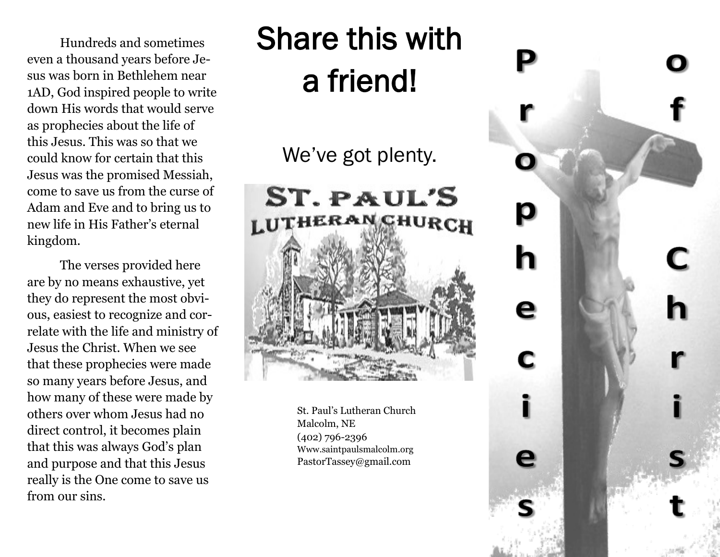Hundreds and sometimes even a thousand years before Jesus was born in Bethlehem near 1AD, God inspired people to write down His words that would serve as prophecies about the life of this Jesus. This was so that we could know for certain that this Jesus was the promised Messiah, come to save us from the curse of Adam and Eve and to bring us to new life in His Father's eternal kingdom.

The verses provided here are by no means exhaustive, yet they do represent the most obvious, easiest to recognize and correlate with the life and ministry of Jesus the Christ. When we see that these prophecies were made so many years before Jesus, and how many of these were made by others over whom Jesus had no direct control, it becomes plain that this was always God's plan and purpose and that this Jesus really is the One come to save us from our sins.

## Share this with a friend!

We've got plenty.

# ST. PAUL'S **LUTHERAN CHURCH**

St. Paul's Lutheran Church Malcolm, NE (402) 796-2396 Www.saintpaulsmalcolm.org PastorTassey@gmail.com